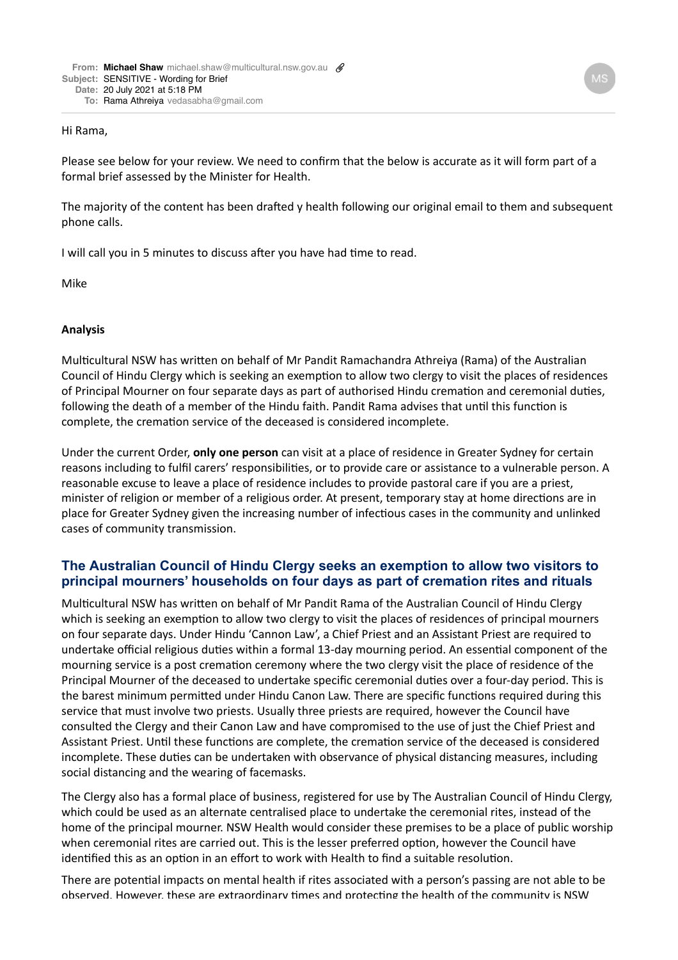## Hi Rama,

Please see below for your review. We need to confirm that the below is accurate as it will form part of a formal brief assessed by the Minister for Health.

The majority of the content has been drafted y health following our original email to them and subsequent phone calls.

I will call you in 5 minutes to discuss after you have had time to read.

Mike

## **Analysis**

Multicultural NSW has written on behalf of Mr Pandit Ramachandra Athreiya (Rama) of the Australian Council of Hindu Clergy which is seeking an exemption to allow two clergy to visit the places of residences of Principal Mourner on four separate days as part of authorised Hindu cremation and ceremonial duties, following the death of a member of the Hindu faith. Pandit Rama advises that until this function is complete, the cremation service of the deceased is considered incomplete.

Under the current Order, **only one person** can visit at a place of residence in Greater Sydney for certain reasons including to fulfil carers' responsibilities, or to provide care or assistance to a vulnerable person. A reasonable excuse to leave a place of residence includes to provide pastoral care if you are a priest, minister of religion or member of a religious order. At present, temporary stay at home directions are in place for Greater Sydney given the increasing number of infectious cases in the community and unlinked cases of community transmission.

## **The Australian Council of Hindu Clergy seeks an exemption to allow two visitors to principal mourners' households on four days as part of cremation rites and rituals**

Multicultural NSW has written on behalf of Mr Pandit Rama of the Australian Council of Hindu Clergy which is seeking an exemption to allow two clergy to visit the places of residences of principal mourners on four separate days. Under Hindu 'Cannon Law', a Chief Priest and an Assistant Priest are required to undertake official religious duties within a formal 13-day mourning period. An essential component of the mourning service is a post cremation ceremony where the two clergy visit the place of residence of the Principal Mourner of the deceased to undertake specific ceremonial duties over a four-day period. This is the barest minimum permitted under Hindu Canon Law. There are specific functions required during this service that must involve two priests. Usually three priests are required, however the Council have consulted the Clergy and their Canon Law and have compromised to the use of just the Chief Priest and Assistant Priest. Until these functions are complete, the cremation service of the deceased is considered incomplete. These duties can be undertaken with observance of physical distancing measures, including social distancing and the wearing of facemasks.

The Clergy also has a formal place of business, registered for use by The Australian Council of Hindu Clergy, which could be used as an alternate centralised place to undertake the ceremonial rites, instead of the home of the principal mourner. NSW Health would consider these premises to be a place of public worship when ceremonial rites are carried out. This is the lesser preferred option, however the Council have identified this as an option in an effort to work with Health to find a suitable resolution.

There are potential impacts on mental health if rites associated with a person's passing are not able to be observed. However, these are extraordinary times and protecting the health of the community is NSW